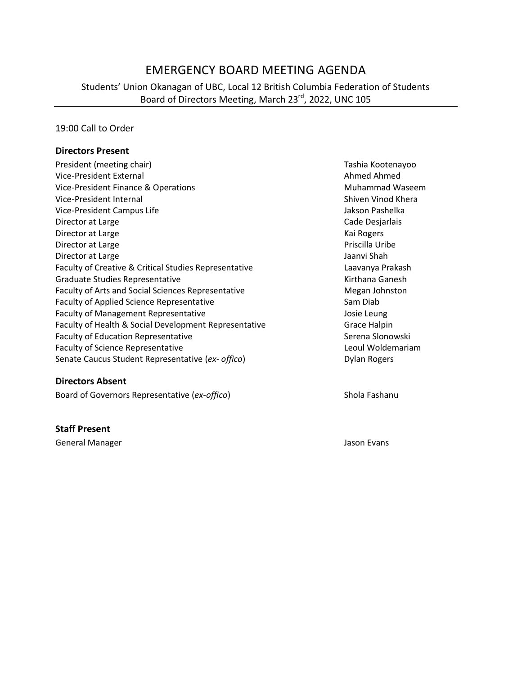# EMERGENCY BOARD MEETING AGENDA

Students' Union Okanagan of UBC, Local 12 British Columbia Federation of Students Board of Directors Meeting, March 23<sup>rd</sup>, 2022, UNC 105

#### 19:00 Call to Order

#### **Directors Present**

| President (meeting chair)                             | Tashia Kootenayoo      |
|-------------------------------------------------------|------------------------|
| Vice-President External                               | Ahmed Ahmed            |
| Vice-President Finance & Operations                   | <b>Muhammad Waseem</b> |
| Vice-President Internal                               | Shiven Vinod Khera     |
| Vice-President Campus Life                            | Jakson Pashelka        |
| Director at Large                                     | Cade Desjarlais        |
| Director at Large                                     | Kai Rogers             |
| Director at Large                                     | Priscilla Uribe        |
| Director at Large                                     | Jaanvi Shah            |
| Faculty of Creative & Critical Studies Representative | Laavanya Prakash       |
| <b>Graduate Studies Representative</b>                | Kirthana Ganesh        |
| Faculty of Arts and Social Sciences Representative    | Megan Johnston         |
| <b>Faculty of Applied Science Representative</b>      | Sam Diab               |
| <b>Faculty of Management Representative</b>           | Josie Leung            |
| Faculty of Health & Social Development Representative | Grace Halpin           |
| <b>Faculty of Education Representative</b>            | Serena Slonowski       |
| <b>Faculty of Science Representative</b>              | Leoul Woldemariam      |
| Senate Caucus Student Representative (ex- offico)     | <b>Dylan Rogers</b>    |

#### **Directors Absent**

Board of Governors Representative (ex-offico) Shola Fashanu

#### **Staff Present**

General Manager Jason Evans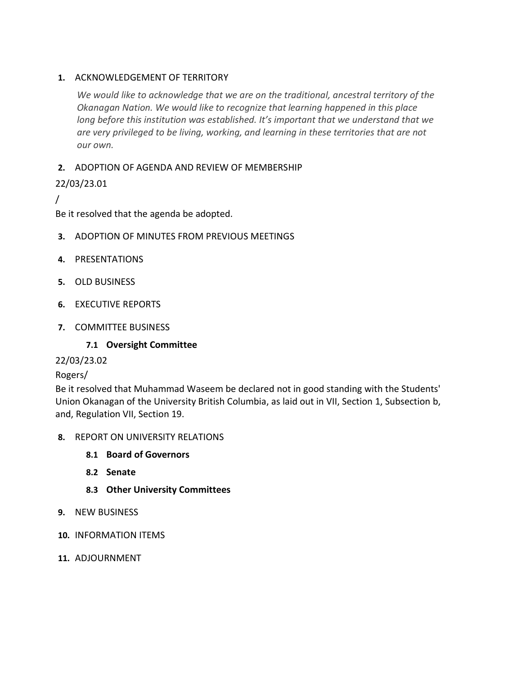### **1.** ACKNOWLEDGEMENT OF TERRITORY

*We would like to acknowledge that we are on the traditional, ancestral territory of the Okanagan Nation. We would like to recognize that learning happened in this place long before this institution was established. It's important that we understand that we are very privileged to be living, working, and learning in these territories that are not our own.*

### **2.** ADOPTION OF AGENDA AND REVIEW OF MEMBERSHIP

## 22/03/23.01

/

Be it resolved that the agenda be adopted.

- **3.** ADOPTION OF MINUTES FROM PREVIOUS MEETINGS
- **4.** PRESENTATIONS
- **5.** OLD BUSINESS
- **6.** EXECUTIVE REPORTS
- **7.** COMMITTEE BUSINESS

### **7.1 Oversight Committee**

### 22/03/23.02

### Rogers/

Be it resolved that Muhammad Waseem be declared not in good standing with the Students' Union Okanagan of the University British Columbia, as laid out in VII, Section 1, Subsection b, and, Regulation VII, Section 19.

- **8.** REPORT ON UNIVERSITY RELATIONS
	- **8.1 Board of Governors**
	- **8.2 Senate**
	- **8.3 Other University Committees**
- **9.** NEW BUSINESS
- **10.** INFORMATION ITEMS
- **11.** ADJOURNMENT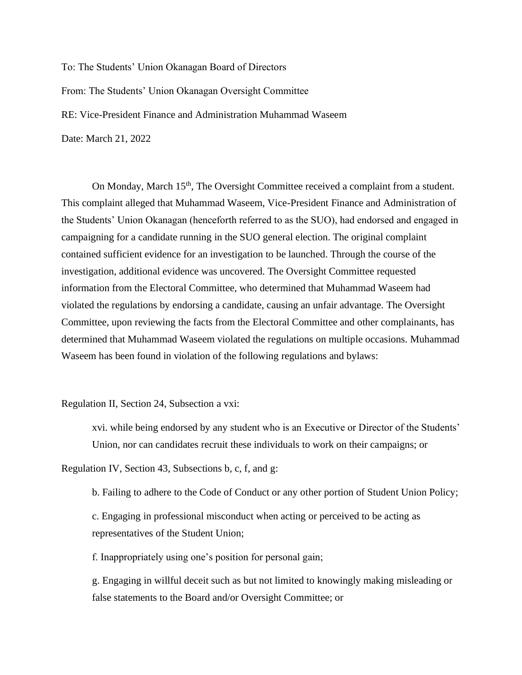To: The Students' Union Okanagan Board of Directors From: The Students' Union Okanagan Oversight Committee RE: Vice-President Finance and Administration Muhammad Waseem Date: March 21, 2022

On Monday, March 15<sup>th</sup>, The Oversight Committee received a complaint from a student. This complaint alleged that Muhammad Waseem, Vice-President Finance and Administration of the Students' Union Okanagan (henceforth referred to as the SUO), had endorsed and engaged in campaigning for a candidate running in the SUO general election. The original complaint contained sufficient evidence for an investigation to be launched. Through the course of the investigation, additional evidence was uncovered. The Oversight Committee requested information from the Electoral Committee, who determined that Muhammad Waseem had violated the regulations by endorsing a candidate, causing an unfair advantage. The Oversight Committee, upon reviewing the facts from the Electoral Committee and other complainants, has determined that Muhammad Waseem violated the regulations on multiple occasions. Muhammad Waseem has been found in violation of the following regulations and bylaws:

#### Regulation II, Section 24, Subsection a vxi:

xvi. while being endorsed by any student who is an Executive or Director of the Students' Union, nor can candidates recruit these individuals to work on their campaigns; or

Regulation IV, Section 43, Subsections b, c, f, and g:

b. Failing to adhere to the Code of Conduct or any other portion of Student Union Policy;

c. Engaging in professional misconduct when acting or perceived to be acting as representatives of the Student Union;

f. Inappropriately using one's position for personal gain;

g. Engaging in willful deceit such as but not limited to knowingly making misleading or false statements to the Board and/or Oversight Committee; or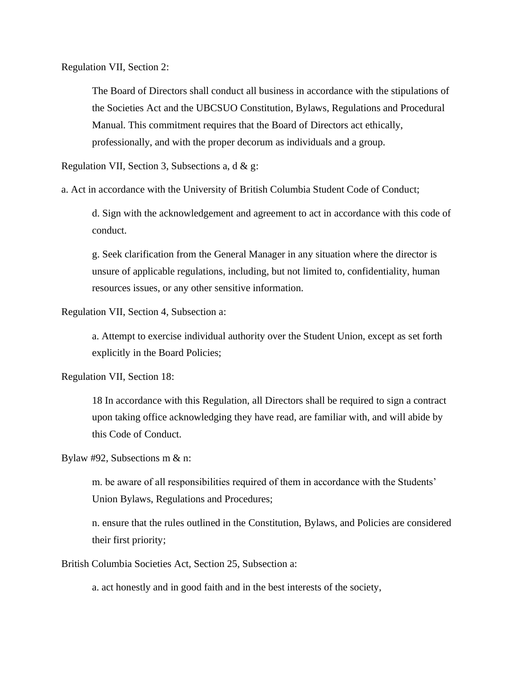Regulation VII, Section 2:

The Board of Directors shall conduct all business in accordance with the stipulations of the Societies Act and the UBCSUO Constitution, Bylaws, Regulations and Procedural Manual. This commitment requires that the Board of Directors act ethically, professionally, and with the proper decorum as individuals and a group.

Regulation VII, Section 3, Subsections a, d & g:

a. Act in accordance with the University of British Columbia Student Code of Conduct;

d. Sign with the acknowledgement and agreement to act in accordance with this code of conduct.

g. Seek clarification from the General Manager in any situation where the director is unsure of applicable regulations, including, but not limited to, confidentiality, human resources issues, or any other sensitive information.

Regulation VII, Section 4, Subsection a:

a. Attempt to exercise individual authority over the Student Union, except as set forth explicitly in the Board Policies;

Regulation VII, Section 18:

18 In accordance with this Regulation, all Directors shall be required to sign a contract upon taking office acknowledging they have read, are familiar with, and will abide by this Code of Conduct.

Bylaw #92, Subsections m & n:

m. be aware of all responsibilities required of them in accordance with the Students' Union Bylaws, Regulations and Procedures;

n. ensure that the rules outlined in the Constitution, Bylaws, and Policies are considered their first priority;

British Columbia Societies Act, Section 25, Subsection a:

a. act honestly and in good faith and in the best interests of the society,